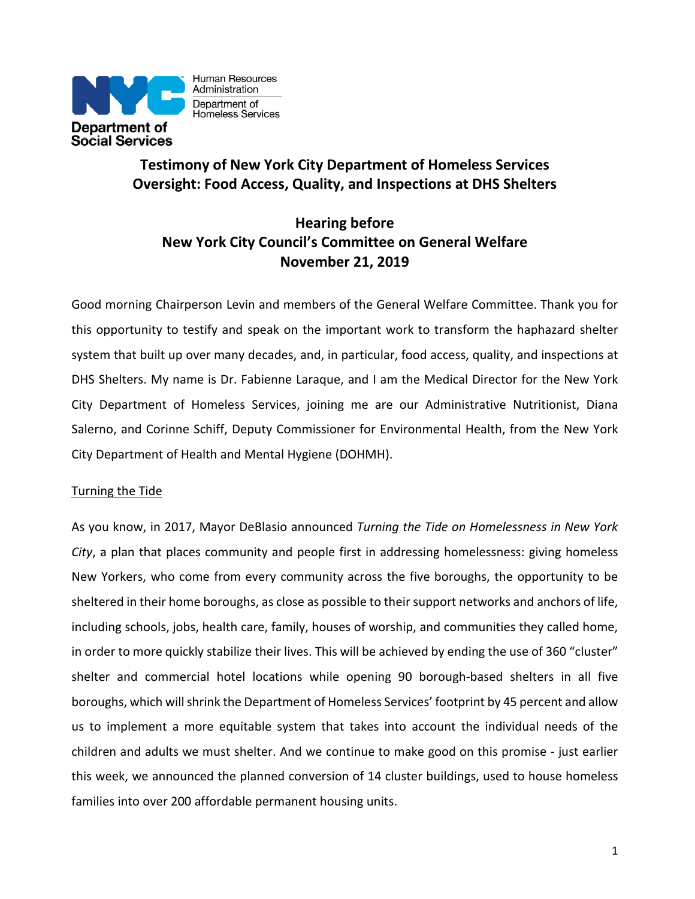

# **Testimony of New York City Department of Homeless Services Oversight: Food Access, Quality, and Inspections at DHS Shelters**

# **Hearing before New York City Council's Committee on General Welfare November 21, 2019**

Good morning Chairperson Levin and members of the General Welfare Committee. Thank you for this opportunity to testify and speak on the important work to transform the haphazard shelter system that built up over many decades, and, in particular, food access, quality, and inspections at DHS Shelters. My name is Dr. Fabienne Laraque, and I am the Medical Director for the New York City Department of Homeless Services, joining me are our Administrative Nutritionist, Diana Salerno, and Corinne Schiff, Deputy Commissioner for Environmental Health, from the New York City Department of Health and Mental Hygiene (DOHMH).

### Turning the Tide

As you know, in 2017, Mayor DeBlasio announced *Turning the Tide on Homelessness in New York City*, a plan that places community and people first in addressing homelessness: giving homeless New Yorkers, who come from every community across the five boroughs, the opportunity to be sheltered in their home boroughs, as close as possible to their support networks and anchors of life, including schools, jobs, health care, family, houses of worship, and communities they called home, in order to more quickly stabilize their lives. This will be achieved by ending the use of 360 "cluster" shelter and commercial hotel locations while opening 90 borough-based shelters in all five boroughs, which willshrink the Department of Homeless Services' footprint by 45 percent and allow us to implement a more equitable system that takes into account the individual needs of the children and adults we must shelter. And we continue to make good on this promise - just earlier this week, we announced the planned conversion of 14 cluster buildings, used to house homeless families into over 200 affordable permanent housing units.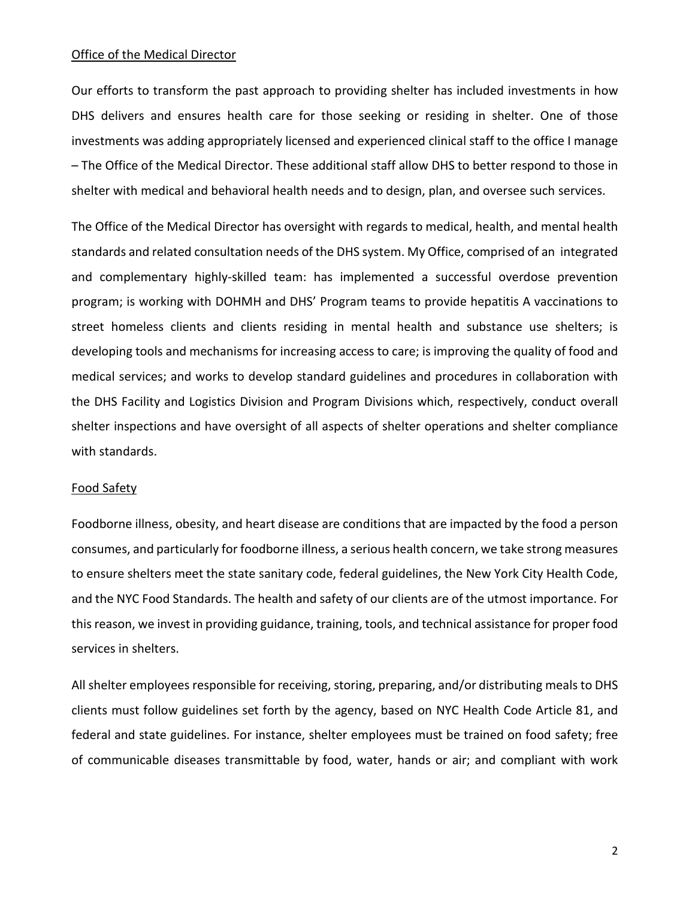### Office of the Medical Director

Our efforts to transform the past approach to providing shelter has included investments in how DHS delivers and ensures health care for those seeking or residing in shelter. One of those investments was adding appropriately licensed and experienced clinical staff to the office I manage – The Office of the Medical Director. These additional staff allow DHS to better respond to those in shelter with medical and behavioral health needs and to design, plan, and oversee such services.

The Office of the Medical Director has oversight with regards to medical, health, and mental health standards and related consultation needs of the DHS system. My Office, comprised of an integrated and complementary highly-skilled team: has implemented a successful overdose prevention program; is working with DOHMH and DHS' Program teams to provide hepatitis A vaccinations to street homeless clients and clients residing in mental health and substance use shelters; is developing tools and mechanisms for increasing access to care; is improving the quality of food and medical services; and works to develop standard guidelines and procedures in collaboration with the DHS Facility and Logistics Division and Program Divisions which, respectively, conduct overall shelter inspections and have oversight of all aspects of shelter operations and shelter compliance with standards.

### Food Safety

Foodborne illness, obesity, and heart disease are conditions that are impacted by the food a person consumes, and particularly for foodborne illness, a serious health concern, we take strong measures to ensure shelters meet the state sanitary code, federal guidelines, the New York City Health Code, and the NYC Food Standards. The health and safety of our clients are of the utmost importance. For this reason, we invest in providing guidance, training, tools, and technical assistance for proper food services in shelters.

All shelter employees responsible for receiving, storing, preparing, and/or distributing mealsto DHS clients must follow guidelines set forth by the agency, based on NYC Health Code Article 81, and federal and state guidelines. For instance, shelter employees must be trained on food safety; free of communicable diseases transmittable by food, water, hands or air; and compliant with work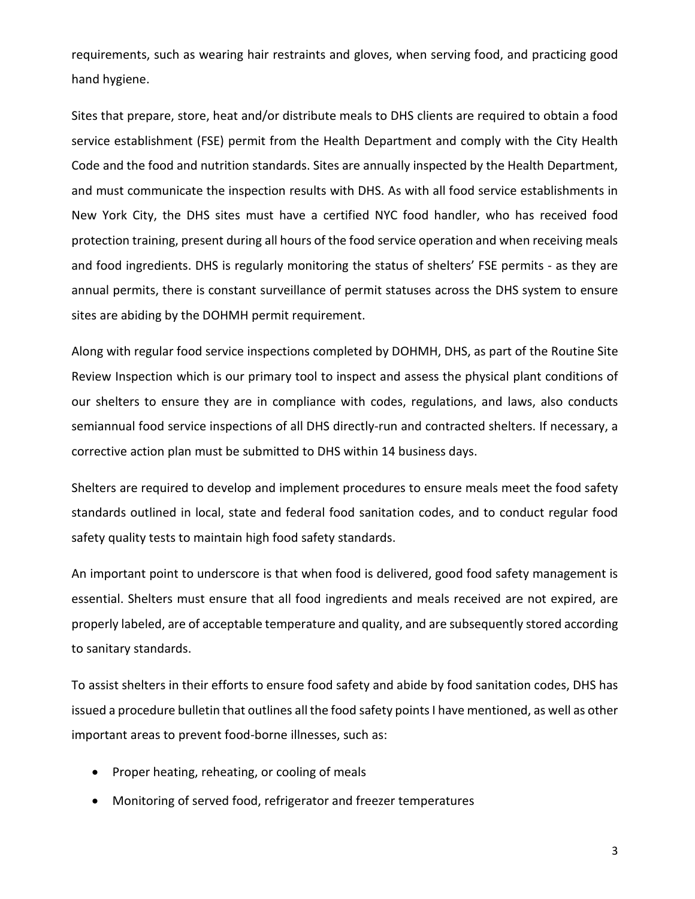requirements, such as wearing hair restraints and gloves, when serving food, and practicing good hand hygiene.

Sites that prepare, store, heat and/or distribute meals to DHS clients are required to obtain a food service establishment (FSE) permit from the Health Department and comply with the City Health Code and the food and nutrition standards. Sites are annually inspected by the Health Department, and must communicate the inspection results with DHS. As with all food service establishments in New York City, the DHS sites must have a certified NYC food handler, who has received food protection training, present during all hours of the food service operation and when receiving meals and food ingredients. DHS is regularly monitoring the status of shelters' FSE permits - as they are annual permits, there is constant surveillance of permit statuses across the DHS system to ensure sites are abiding by the DOHMH permit requirement.

Along with regular food service inspections completed by DOHMH, DHS, as part of the Routine Site Review Inspection which is our primary tool to inspect and assess the physical plant conditions of our shelters to ensure they are in compliance with codes, regulations, and laws, also conducts semiannual food service inspections of all DHS directly-run and contracted shelters. If necessary, a corrective action plan must be submitted to DHS within 14 business days.

Shelters are required to develop and implement procedures to ensure meals meet the food safety standards outlined in local, state and federal food sanitation codes, and to conduct regular food safety quality tests to maintain high food safety standards.

An important point to underscore is that when food is delivered, good food safety management is essential. Shelters must ensure that all food ingredients and meals received are not expired, are properly labeled, are of acceptable temperature and quality, and are subsequently stored according to sanitary standards.

To assist shelters in their efforts to ensure food safety and abide by food sanitation codes, DHS has issued a procedure bulletin that outlines all the food safety points I have mentioned, as well as other important areas to prevent food-borne illnesses, such as:

- Proper heating, reheating, or cooling of meals
- Monitoring of served food, refrigerator and freezer temperatures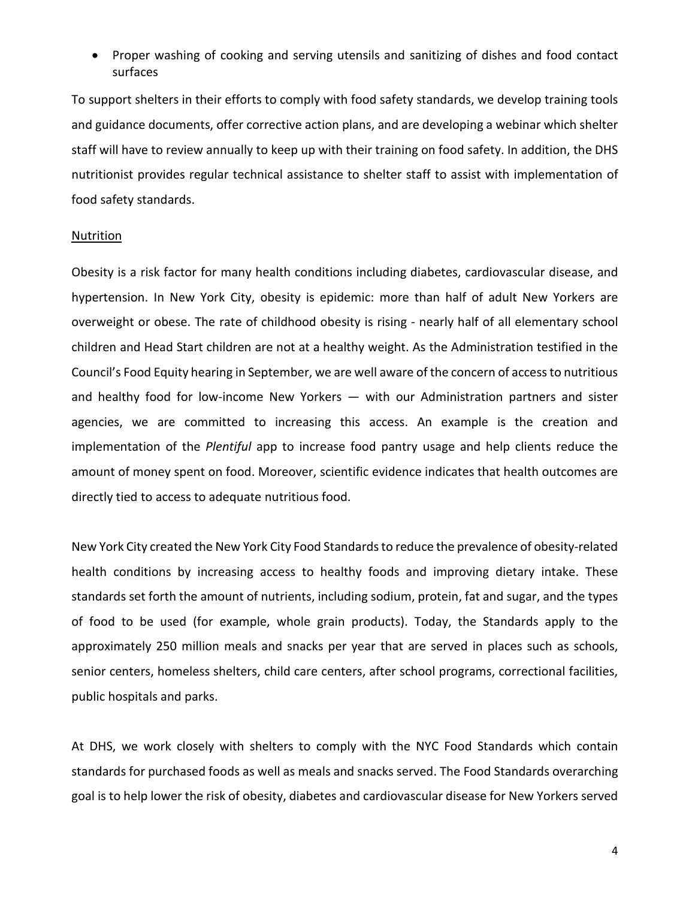• Proper washing of cooking and serving utensils and sanitizing of dishes and food contact surfaces

To support shelters in their efforts to comply with food safety standards, we develop training tools and guidance documents, offer corrective action plans, and are developing a webinar which shelter staff will have to review annually to keep up with their training on food safety. In addition, the DHS nutritionist provides regular technical assistance to shelter staff to assist with implementation of food safety standards.

### Nutrition

Obesity is a risk factor for many health conditions including diabetes, cardiovascular disease, and hypertension. In New York City, obesity is epidemic: more than half of adult New Yorkers are overweight or obese. The rate of childhood obesity is rising - nearly half of all elementary school children and Head Start children are not at a healthy weight. As the Administration testified in the Council's Food Equity hearing in September, we are well aware of the concern of accessto nutritious and healthy food for low-income New Yorkers — with our Administration partners and sister agencies, we are committed to increasing this access. An example is the creation and implementation of the *Plentiful* app to increase food pantry usage and help clients reduce the amount of money spent on food. Moreover, scientific evidence indicates that health outcomes are directly tied to access to adequate nutritious food.

New York City created the New York City Food Standards to reduce the prevalence of obesity-related health conditions by increasing access to healthy foods and improving dietary intake. These standards set forth the amount of nutrients, including sodium, protein, fat and sugar, and the types of food to be used (for example, whole grain products). Today, the Standards apply to the approximately 250 million meals and snacks per year that are served in places such as schools, senior centers, homeless shelters, child care centers, after school programs, correctional facilities, public hospitals and parks.

At DHS, we work closely with shelters to comply with the NYC Food Standards which contain standards for purchased foods as well as meals and snacks served. The Food Standards overarching goal is to help lower the risk of obesity, diabetes and cardiovascular disease for New Yorkers served